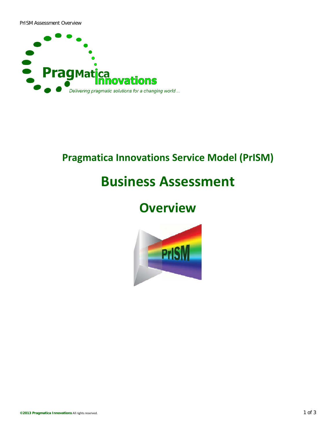PrISM Assessment Overview



### **Pragmatica Innovations Service Model (PrISM)**

# **Business Assessment**

## **Overview**

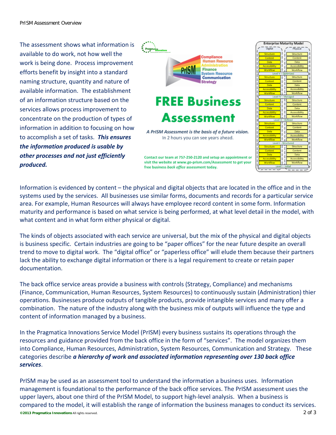The assessment shows what information is available to do work, not how well the work is being done. Process improvement efforts benefit by insight into a standard naming structure, quantity and nature of available information. The establishment of an information structure based on the services allows process improvement to concentrate on the production of types of information in addition to focusing on how to accomplish a set of tasks. *This ensures the information produced is usable by other processes and not just efficiently produced.*





visit the website at www.go-prism.com/Assessment to get your free business back office assessment today.

Information is evidenced by content – the physical and digital objects that are located in the office and in the systems used by the services. All businesses use similar forms, documents and records for a particular service area. For example, Human Resources will always have employee record content in some form. Information maturity and performance is based on what service is being performed, at what level detail in the model, with what content and in what form either physical or digital.

The kinds of objects associated with each service are universal, but the mix of the physical and digital objects is business specific. Certain industries are going to be "paper offices" for the near future despite an overall trend to move to digital work. The "digital office" or "paperless office" will elude them because their partners lack the ability to exchange digital information or there is a legal requirement to create or retain paper documentation.

The back office service areas provide a business with controls (Strategy, Compliance) and mechanisms (Finance, Communication, Human Resources, System Resources) to continuously sustain (Administration) thier operations. Businesses produce outputs of tangible products, provide intangible services and many offer a combination. The nature of the industry along with the business mix of outputs will influence the type and content of information managed by a business.

In the Pragmatica Innovations Service Model (PrISM) every business sustains its operations through the resources and guidance provided from the back office in the form of "services". The model organizes them into Compliance, Human Resources, Administration, System Resources, Communication and Strategy. These categories describe *a hierarchy of work and associated information representing over 130 back office services*.

**©2013 Pragmatica Innovations** All rights reserved. 2 of 3 PrISM may be used as an assessment tool to understand the information a business uses. Information management is foundational to the performance of the back office services. The PrISM assessment uses the upper layers, about one third of the PrISM Model, to support high-level analysis. When a business is compared to the model, it will establish the range of information the business manages to conduct its services.